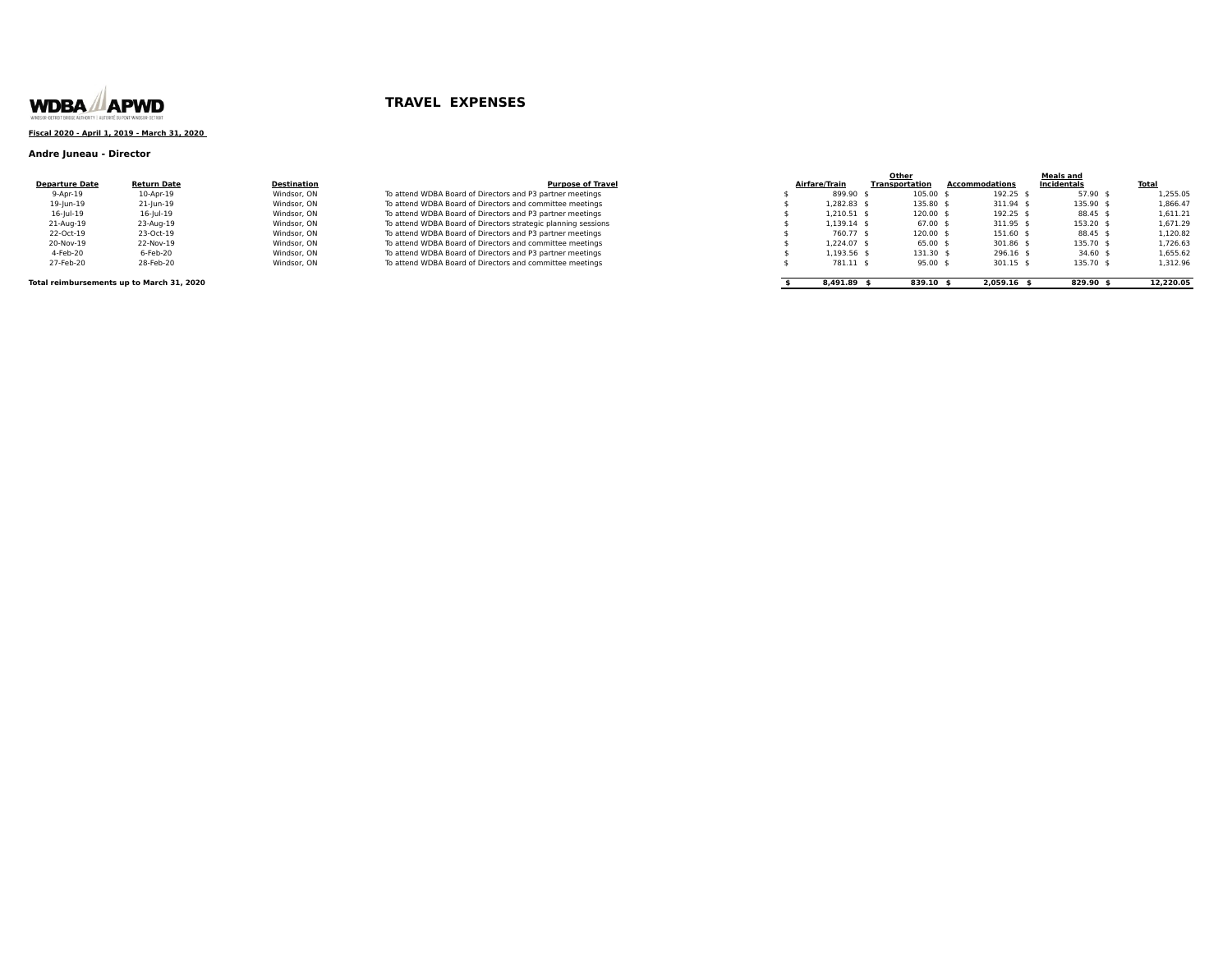

### **Fiscal 2020 - April 1, 2019 - March 31, 2020**

### **Andre Juneau - Director**

| <b>Departure Date</b> | <b>Return Date</b> | <b>Destination</b> |
|-----------------------|--------------------|--------------------|
| 9-Apr-19              | 10-Apr-19          | Windsor, ON        |
| 19-Jun-19             | 21-Jun-19          | Windsor, ON        |
| $16$ -lul- $19$       | $16$ -lul- $19$    | Windsor, ON        |
| 21-Aug-19             | 23-Aug-19          | Windsor, ON        |
| 22-Oct-19             | 23-Oct-19          | Windsor, ON        |
| 20-Nov-19             | 22-Nov-19          | Windsor, ON        |
| 4-Feb-20              | 6-Feb-20           | Windsor, ON        |
| $27$ Enh $20$         | <b>20 Eob 20</b>   | Windcor ON         |

|                                                               | <b>Purpose of Tray</b> |
|---------------------------------------------------------------|------------------------|
| To attend WDBA Board of Directors and P3 partner meetings     |                        |
| To attend WDBA Board of Directors and committee meetings      |                        |
| To attend WDBA Board of Directors and P3 partner meetings     |                        |
| To attend WDBA Board of Directors strategic planning sessions |                        |
| To attend WDBA Board of Directors and P3 partner meetings     |                        |
| To attend WDBA Board of Directors and committee meetings      |                        |
| To attend WDBA Board of Directors and P3 partner meetings     |                        |
| To attend WDBA Board of Directors and committee meetings      |                        |

|                                           |                    |             |                                                               |               | Other          |                | <b>Meals and</b> |              |
|-------------------------------------------|--------------------|-------------|---------------------------------------------------------------|---------------|----------------|----------------|------------------|--------------|
| <b>Departure Date</b>                     | <b>Return Date</b> | Destination | <b>Purpose of Travel</b>                                      | Airfare/Train | Transportation | Accommodations | Incidentals      | <u>Total</u> |
| $9 - Apr-19$                              | 10-Apr-19          | Windsor, ON | To attend WDBA Board of Directors and P3 partner meetings     | 899.90 \$     | 105.00 \$      | 192.25         | 57.90            | 1,255.05     |
| 19-Jun-19                                 | 21-Jun-19          | Windsor, ON | To attend WDBA Board of Directors and committee meetings      | 1.282.83 \$   | 135.80 \$      | 311.94         | 135.90           | 1.866.47     |
| $16$ -Jul-19                              | $16$ -Jul-19       | Windsor, ON | To attend WDBA Board of Directors and P3 partner meetings     | 1,210.51 \$   | 120.00 \$      | 192.25 \$      | 88.45 \$         | 1,611.21     |
| 21-Aug-19                                 | 23-Aug-19          | Windsor, ON | To attend WDBA Board of Directors strategic planning sessions | $1.139.14$ \$ | $67.00$ \$     | 311.95 \$      | 153.20           | 1.671.29     |
| 22-Oct-19                                 | 23-Oct-19          | Windsor, ON | To attend WDBA Board of Directors and P3 partner meetings     | 760.77 \$     | 120.00 \$      | 151.60 \$      | 88.45 \$         | 1.120.82     |
| 20-Nov-19                                 | 22-Nov-19          | Windsor, ON | To attend WDBA Board of Directors and committee meetings      | 1.224.07 \$   | $65.00$ \$     | 301.86 \$      | 135.70           | 1.726.63     |
| 4-Feb-20                                  | 6-Feb-20           | Windsor, ON | To attend WDBA Board of Directors and P3 partner meetings     | 1,193.56 \$   | 131.30 \$      | $296.16$ \$    | $34.60$ \$       | 1,655.62     |
| 27-Feb-20                                 | 28-Feb-20          | Windsor, ON | To attend WDBA Board of Directors and committee meetings      | 781.11 \$     | $95.00$ \$     | 301.15 \$      | 135.70           | 1,312.96     |
| Total reimbursements up to March 31, 2020 |                    |             |                                                               | $8.491.89$ \$ | 839.10 \$      | 2.059.16       | 829.90           | 12.220.05    |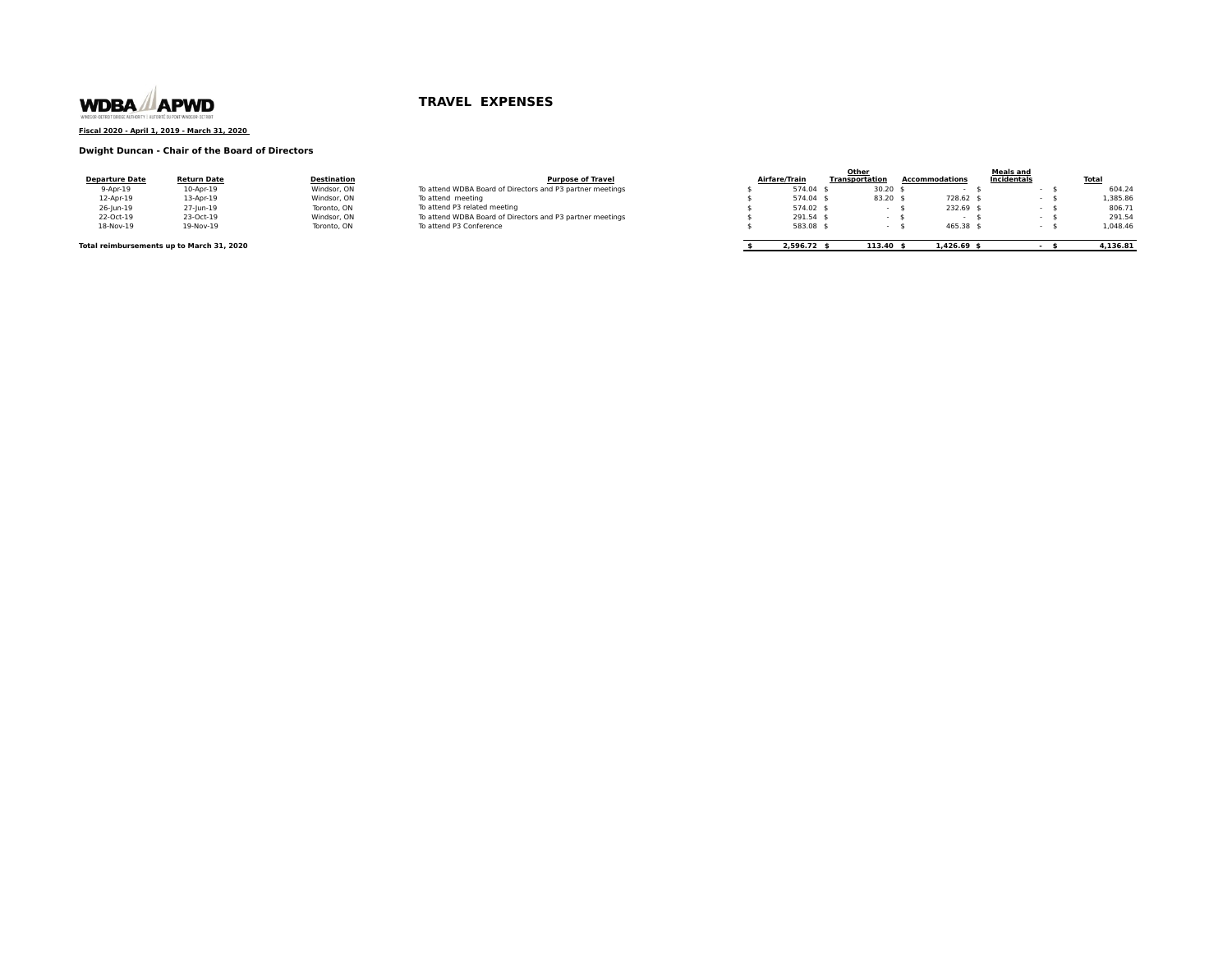

### **Fiscal 2020 - April 1, 2019 - March 31, 2020**

### **Dwight Duncan - Chair of the Board of Directors**

| <b>Departure Date</b>                     | <b>Return Date</b> | <b>Destination</b> | <b>Purpose of Travel</b>                                  | Airfare/Train | Other<br><b>Transportation</b> | <b>Accommodations</b> | <b>Meals and</b><br>Incidentals | <b>Total</b> |
|-------------------------------------------|--------------------|--------------------|-----------------------------------------------------------|---------------|--------------------------------|-----------------------|---------------------------------|--------------|
| $9 - Apr - 19$                            | 10-Apr-19          | Windsor, ON        | To attend WDBA Board of Directors and P3 partner meetings | 574.04 \$     | 30.20                          |                       |                                 | 604.24       |
| 12-Apr-19                                 | 13-Apr-19          | Windsor, ON        | To attend meeting                                         | 574.04 \$     | 83.20                          | 728.62 \$             |                                 | L,385.86     |
| 26-Jun-19                                 | 27-Jun-19          | Toronto, ON        | To attend P3 related meeting                              | 574.02 \$     |                                | $232.69$ \$           |                                 | 806.73       |
| 22-Oct-19                                 | 23-Oct-19          | Windsor, ON        | To attend WDBA Board of Directors and P3 partner meetings | 291.54 \$     |                                |                       |                                 | 291.54       |
| 18-Nov-19                                 | 19-Nov-19          | Toronto, ON        | To attend P3 Conference                                   | 583.08 \$     |                                | 465.38 \$             |                                 | 1.048.46     |
| Total reimbursements up to March 31, 2020 |                    |                    |                                                           | $2.596.72$ \$ | 113.40                         | $1.426.69$ *          |                                 | 4,136.81     |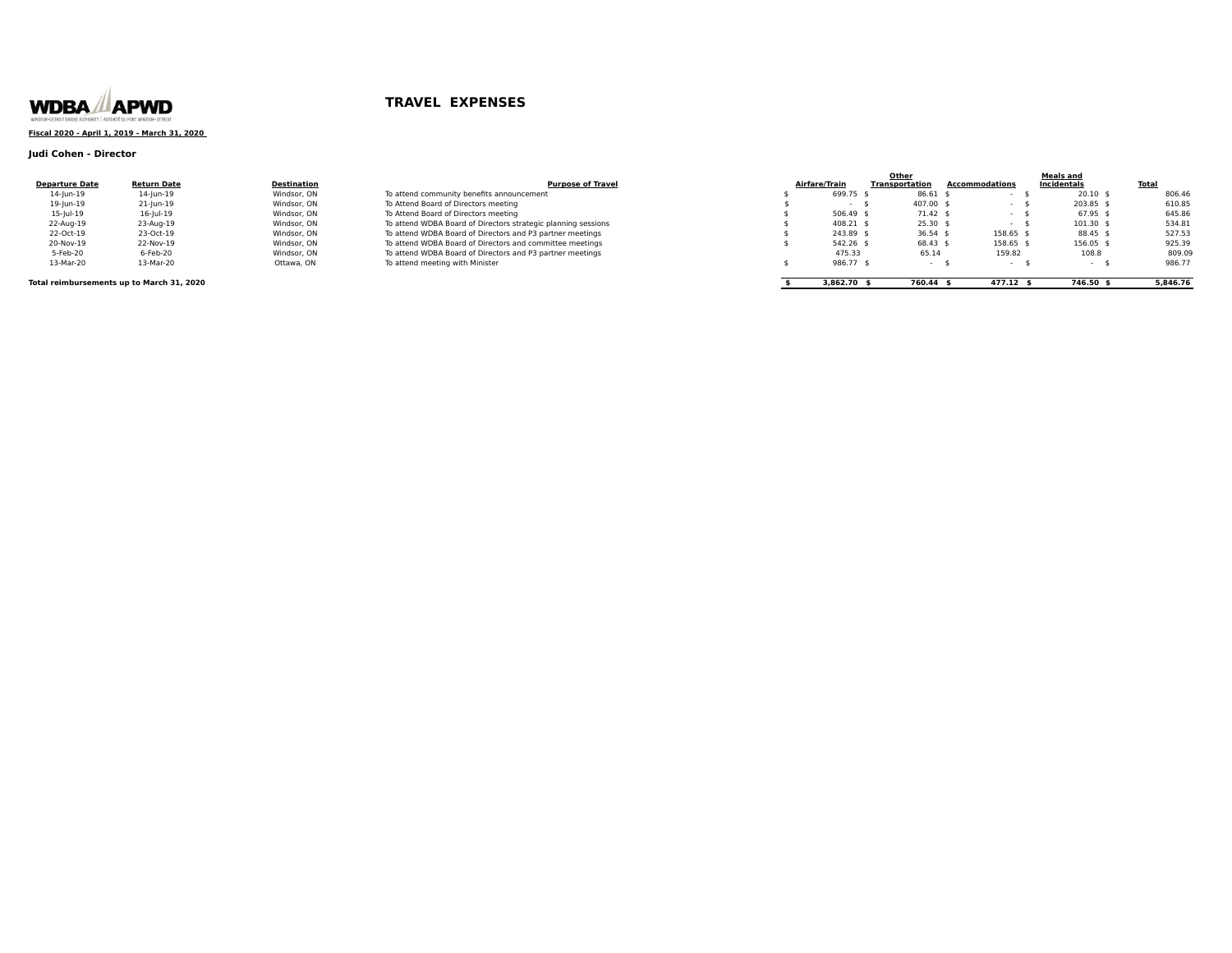

### **Fiscal 2020 - April 1, 2019 - March 31, 2020**

### **Judi Cohen - Director**

|                       |                    |                    |                                                               |               | Other          |                | Meals and   |              |
|-----------------------|--------------------|--------------------|---------------------------------------------------------------|---------------|----------------|----------------|-------------|--------------|
| <b>Departure Date</b> | <b>Return Date</b> | <b>Destination</b> | <b>Purpose of Travel</b>                                      | Airfare/Train | Transportation | Accommodations | Incidentals | <b>Total</b> |
| 14-Jun-19             | 14-Jun-19          | Windsor, ON        | To attend community benefits announcement                     | 699.75 9      | 86.61          |                | $20.10$ \$  | 806.46       |
| 19-Jun-19             | 21-Jun-19          | Windsor, ON        | To Attend Board of Directors meeting                          |               | 407.00 \$      |                | 203.85 \$   | 610.85       |
| $15 -  u  - 19$       | $16$ -Jul-19       | Windsor, ON        | To Attend Board of Directors meeting                          | 506.49 \$     | 71.42 \$       |                | 67.95 \$    | 645.86       |
| 22-Aug-19             | 23-Aug-19          | Windsor, ON        | To attend WDBA Board of Directors strategic planning sessions | 408.21 \$     | $25.30$ \$     |                | 101.30      | 534.8        |
| 22-Oct-19             | 23-Oct-19          | Windsor, ON        | To attend WDBA Board of Directors and P3 partner meetings     | 243.89 \$     | $36.54$ \$     | 158.65         | 88.45 \$    | 527.53       |
| 20-Nov-19             | 22-Nov-19          | Windsor, ON        | To attend WDBA Board of Directors and committee meetings      | 542.26 \$     | $68.43$ \$     | 158.65         | 156.05 \$   | 925.39       |
| 5-Feb-20              | 6-Feb-20           | Windsor, ON        | To attend WDBA Board of Directors and P3 partner meetings     | 475.33        | 65.14          | 159.82         | 108.8       | 809.09       |
| 13-Mar-20             | 13-Mar-20          | Ottawa, ON         | To attend meeting with Minister                               | 986.77 :      |                |                |             | 986.77       |
|                       |                    |                    |                                                               |               |                |                |             |              |

### **Total reimbursements up to March 31, 2020** 5,846.76 **5,846.76 6.12 <b>\$** 3,862.70 **\$** 746.50 **\$** 746.50 **\$** 5,846.76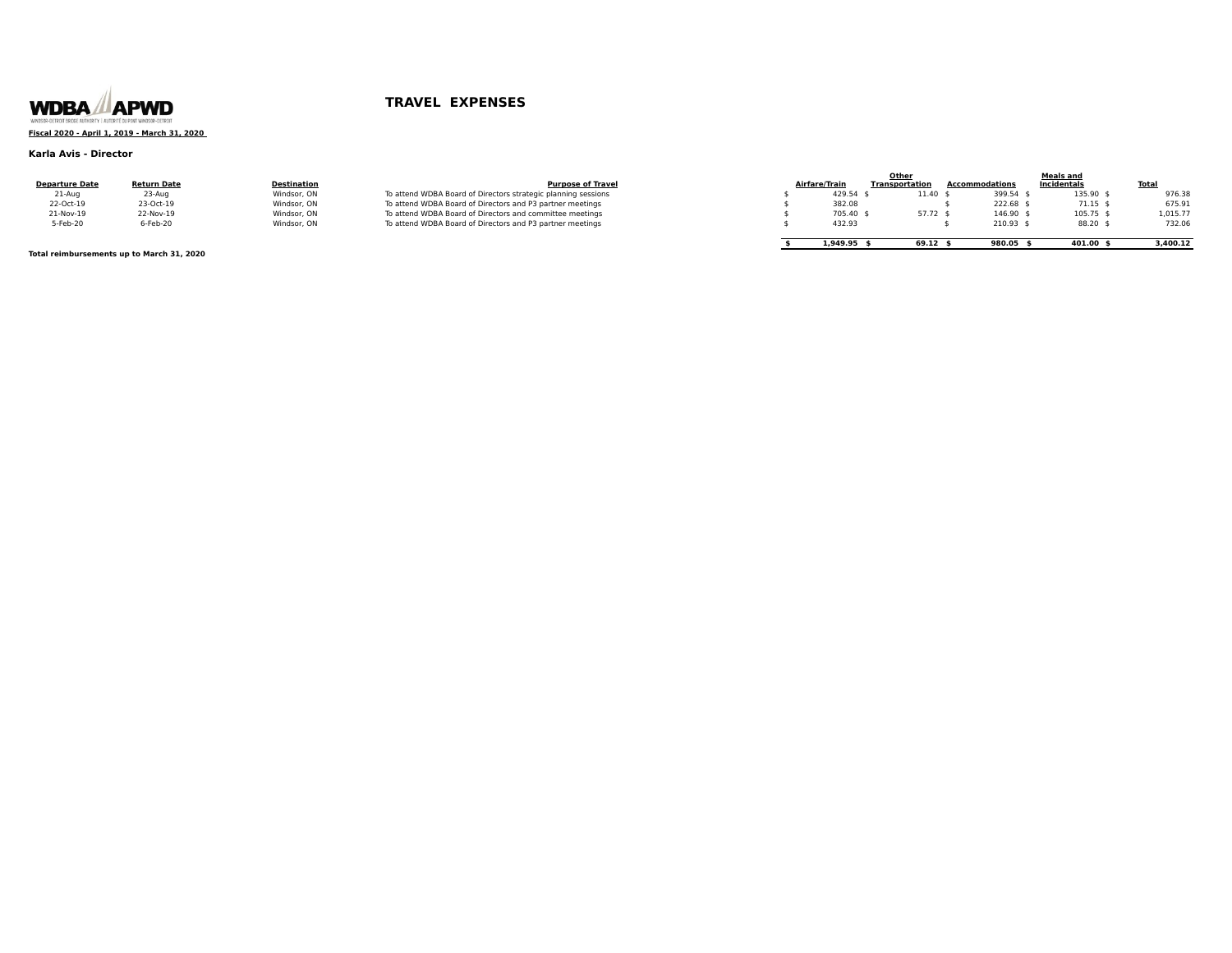

## **Fiscal 2020 - April 1, 2019 - March 31, 2020**

### **Karla Avis - Director**

|                       |                    |                    |                                                               |               | Other                 |                       | <b>Meals and</b> |              |
|-----------------------|--------------------|--------------------|---------------------------------------------------------------|---------------|-----------------------|-----------------------|------------------|--------------|
| <b>Departure Date</b> | <b>Return Date</b> | <b>Destination</b> | <b>Purpose of Travel</b>                                      | Airfare/Train | <b>Transportation</b> | <b>Accommodations</b> | Incidentals      | <b>Total</b> |
| 21-Aug                | 23-Aug             | Windsor, ON        | To attend WDBA Board of Directors strategic planning sessions | 429.54 \$     | 11.40                 | 399.54 \$             | 135.90 \$        | 976.38       |
| 22-Oct-19             | 23-Oct-19          | Windsor, ON        | To attend WDBA Board of Directors and P3 partner meetings     | 382.08        |                       | 222.68 \$             | $71.15$ \$       | 675.91       |
| 21-Nov-19             | 22-Nov-19          | Windsor, ON        | To attend WDBA Board of Directors and committee meetings      | 705.40 \$     | 57.72 \$              | 146.90                | 105.75 \$        | 1.015.77     |
| 5-Feb-20              | 6-Feb-20           | Windsor, ON        | To attend WDBA Board of Directors and P3 partner meetings     | 432.93        |                       | 210.93                | 88.20 \$         | 732.06       |
|                       |                    |                    |                                                               |               |                       |                       |                  |              |
|                       |                    |                    |                                                               | 1,949.95 9    | 69.12                 | 980.05                | 401.00           | 3,400.12     |

**Total reimbursements up to March 31, 2020**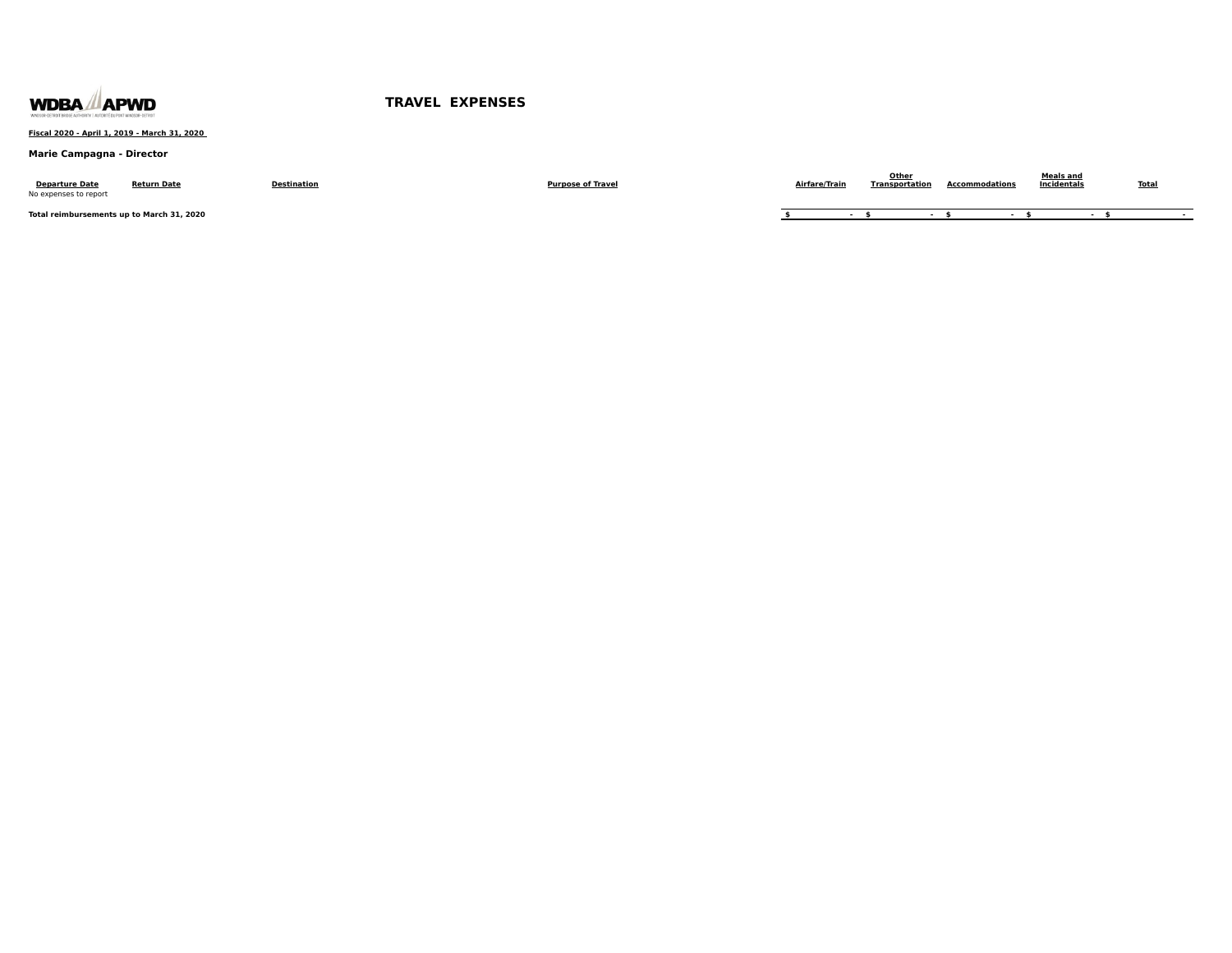

### **Fiscal 2020 - April 1, 2019 - March 31, 2020**

### **Marie Campagna - Director**

| <b>Departure Date</b><br>No expenses to report | <b>Return Date</b> | Destination | <b>Purpose of Travel</b> | Airfare/Trair | Othe <sup>®</sup><br>Transportation | <b>Accommodations</b> | Meals and<br>Incidentals | <u>Total</u> |
|------------------------------------------------|--------------------|-------------|--------------------------|---------------|-------------------------------------|-----------------------|--------------------------|--------------|
| Total reimbursements up to March 31, 2020      |                    |             |                          |               |                                     |                       |                          |              |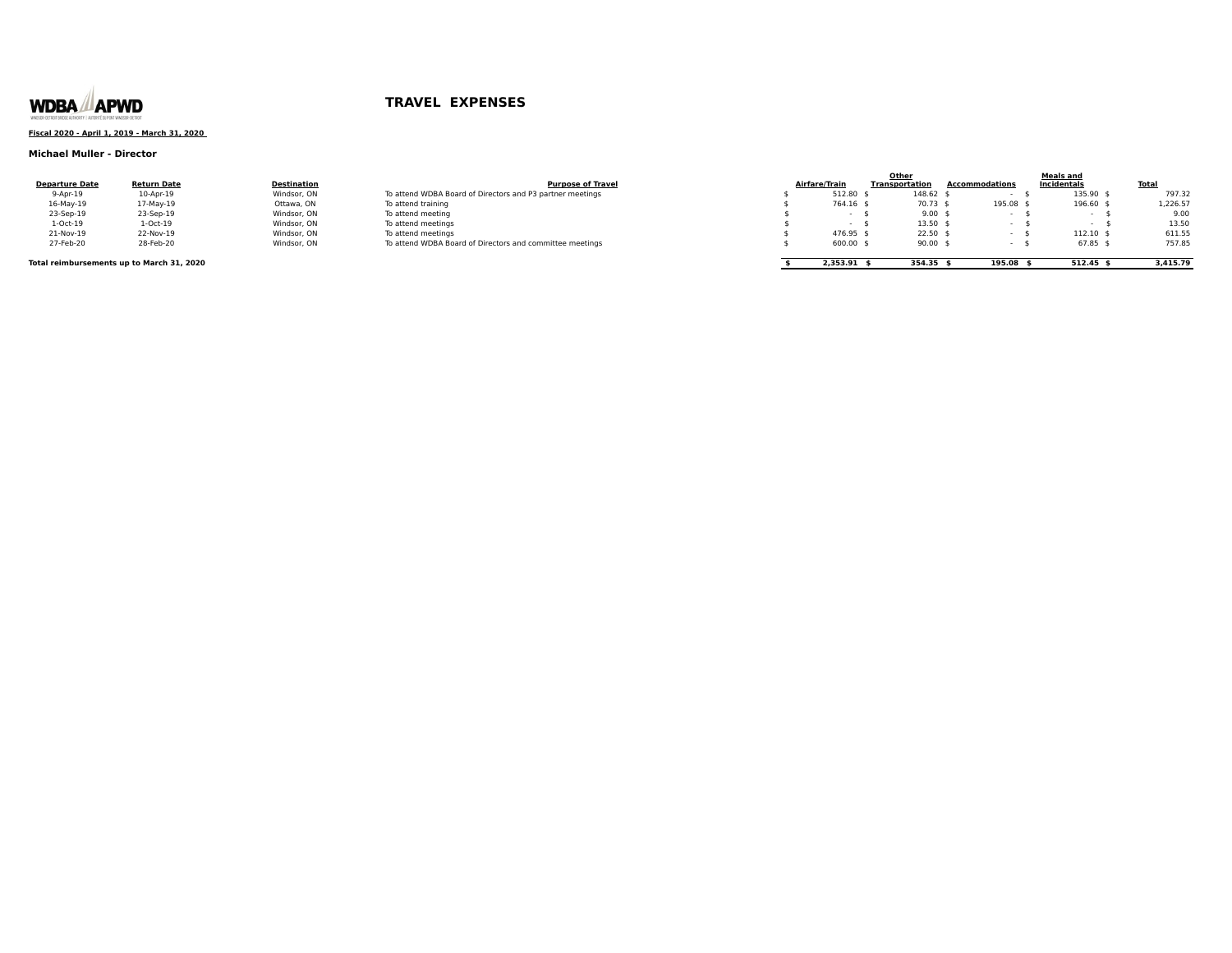

### **Fiscal 2020 - April 1, 2019 - March 31, 2020**

### **Michael Muller - Director**

| <b>Departure Date</b>                     | <b>Return Date</b> | <b>Destination</b> | <b>Purpose of Travel</b>                                  | Airfare/Train | Other<br><b>Transportation</b> | <b>Accommodations</b> | <b>Meals and</b><br>Incidentals | <u>Total</u> |
|-------------------------------------------|--------------------|--------------------|-----------------------------------------------------------|---------------|--------------------------------|-----------------------|---------------------------------|--------------|
| $9-Apr-19$                                | 10-Apr-19          | Windsor, ON        | To attend WDBA Board of Directors and P3 partner meetings | 512.80        |                                | 148.62 \$             | 135.90                          | 797.32       |
| $16$ -May- $19$                           | 17-May-19          | Ottawa, ON         | To attend training                                        | 764.16 \$     |                                | 195.08<br>70.73 \$    | 196.60                          | 1,226.57     |
| 23-Sep-19                                 | 23-Sep-19          | Windsor, ON        | To attend meeting                                         |               |                                | $9.00$ :              |                                 | 9.00         |
| $1-Oct-19$                                | 1-Oct-19           | Windsor, ON        | To attend meetings                                        |               |                                | $13.50$ \$            |                                 | 13.50        |
| 21-Nov-19                                 | 22-Nov-19          | Windsor, ON        | To attend meetings                                        | 476.95 \$     |                                | $22.50$ \$            | 112.10                          | 611.55       |
| 27-Feb-20                                 | 28-Feb-20          | Windsor, ON        | To attend WDBA Board of Directors and committee meetings  | $600.00$ \$   |                                | $90.00$ :             | 67.85                           | 757.85       |
| Total reimbursements up to March 31, 2020 |                    |                    |                                                           | 2.353.91      | 354.35 \$                      | 195.08                | 512.45                          | 3.415.79     |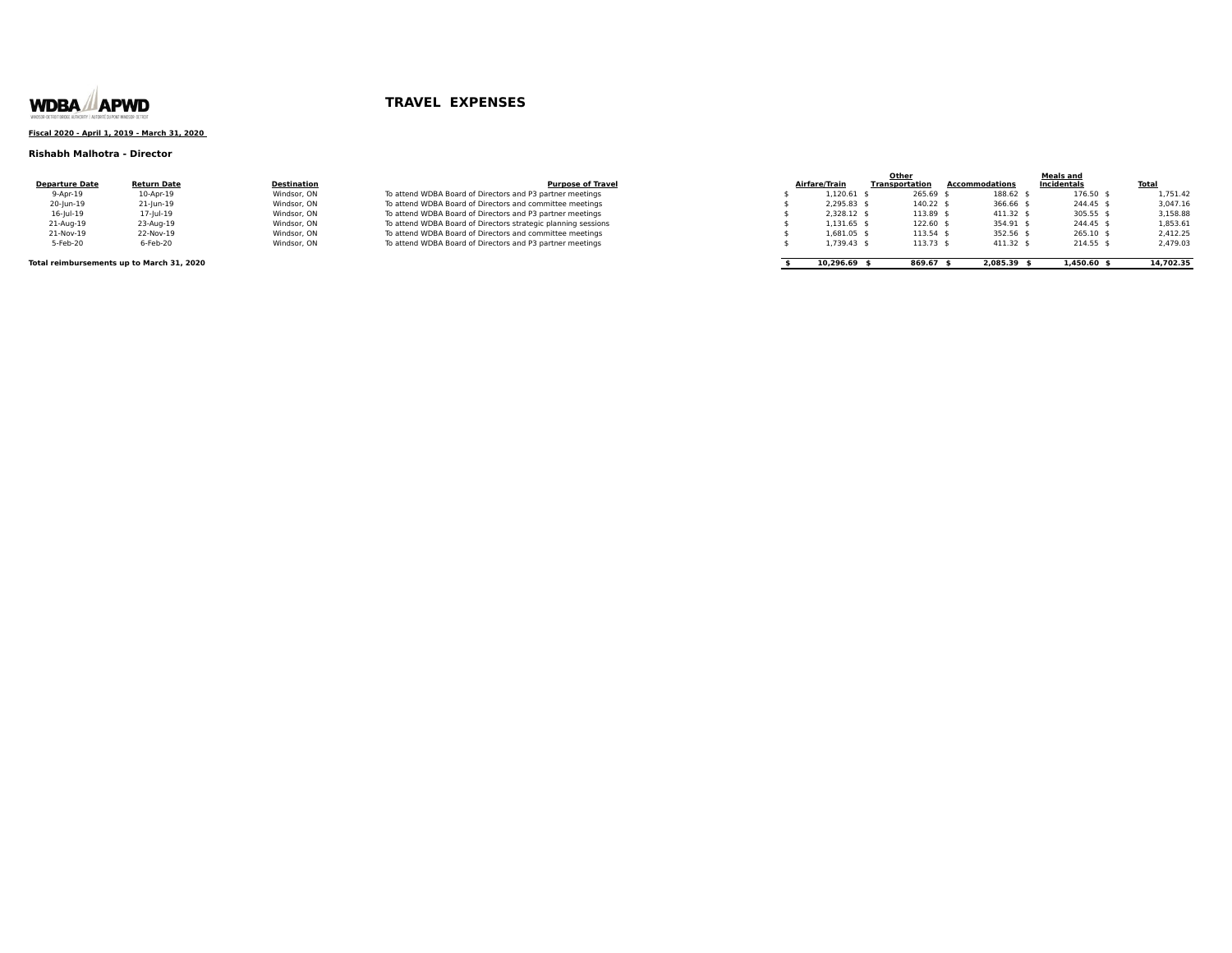

### **Fiscal 2020 - April 1, 2019 - March 31, 2020**

### **Rishabh Malhotra - Director**

| <b>Departure Date</b> | <b>Return Date</b> | Destination |
|-----------------------|--------------------|-------------|
| 9-Apr-19              | 10-Apr-19          | Windsor, ON |
| 20-lun-19             | 21-Jun-19          | Windsor, ON |
| $16$ -lul- $19$       | 17-Jul-19          | Windsor, ON |
| 21-Aug-19             | 23-Aug-19          | Windsor, ON |
| 21-Nov-19             | 22-Nov-19          | Windsor, ON |
| 5-Feb-20              | 6-Feb-20           | Windsor, ON |

|                                           |                    |                    |                                                               |                | Other                 |                | <b>Meals and</b> |              |
|-------------------------------------------|--------------------|--------------------|---------------------------------------------------------------|----------------|-----------------------|----------------|------------------|--------------|
| <b>Departure Date</b>                     | <b>Return Date</b> | <b>Destination</b> | <b>Purpose of Travel</b>                                      | Airfare/Train  | <b>Transportation</b> | Accommodations | Incidentals      | <b>Total</b> |
| 9-Apr-19                                  | 10-Apr-19          | Windsor, ON        | To attend WDBA Board of Directors and P3 partner meetings     | 1.120.61       | 265.69 \$             | 188.62         | 176.50 \$        | 1,751.42     |
| 20-Jun-19                                 | 21-Jun-19          | Windsor, ON        | To attend WDBA Board of Directors and committee meetings      | 2.295.83 \$    | 140.22 \$             | 366.66 \$      | 244.45 \$        | 3.047.16     |
| $16$ -Jul-19                              | 17-jul-19          | Windsor, ON        | To attend WDBA Board of Directors and P3 partner meetings     | 2.328.12 \$    | 113.89 \$             | 411.32 :       | 305.55 :         | 3,158.88     |
| 21-Aug-19                                 | 23-Aug-19          | Windsor, ON        | To attend WDBA Board of Directors strategic planning sessions | 1,131.65 \$    | 122.60 \$             | 354.91 \$      | 244.45 \$        | 1,853.61     |
| 21-Nov-19                                 | 22-Nov-19          | Windsor, ON        | To attend WDBA Board of Directors and committee meetings      | 1.681.05 \$    | 113.54 \$             | 352.56 \$      | 265.10 :         | 2.412.25     |
| 5-Feb-20                                  | 6-Feb-20           | Windsor, ON        | To attend WDBA Board of Directors and P3 partner meetings     | 1,739.43 \$    | 113.73 \$             | 411.32         | 214.55           | 2,479.03     |
| Total reimbursements up to March 31, 2020 |                    |                    |                                                               | $10,296.69$ \$ | 869.67 \$             | 2.085.39 9     | $1,450.60$ f     | 14,702.35    |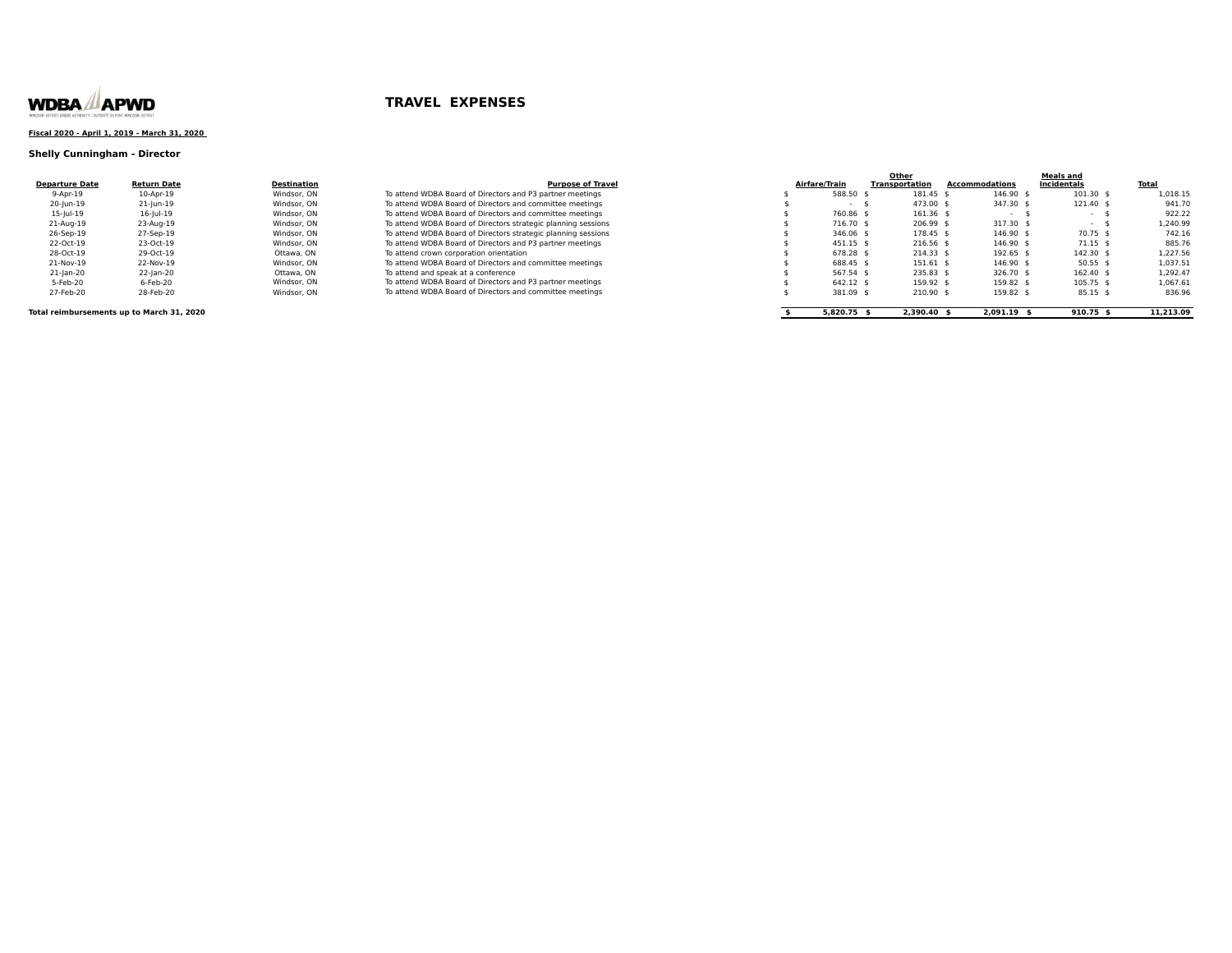

### **Fiscal 2020 - April 1, 2019 - March 31, 2020**

### **Shelly Cunningham - Director**

|                       |                    |             |                                                               |               | Other          |                | Meals and   |              |
|-----------------------|--------------------|-------------|---------------------------------------------------------------|---------------|----------------|----------------|-------------|--------------|
| <b>Departure Date</b> | <b>Return Date</b> | Destination | <b>Purpose of Travel</b>                                      | Airfare/Train | Transportation | Accommodations | Incidentals | <b>Total</b> |
| $9-Apr-19$            | 10-Apr-19          | Windsor, ON | To attend WDBA Board of Directors and P3 partner meetings     | 588.50 :      | 181.45         | 146.90         | $101.30$ \$ | 1.018.15     |
| 20-Jun-19             | 21-lun-19          | Windsor, ON | To attend WDBA Board of Directors and committee meetings      |               | 473.00 \$      | 347.30 \$      | 121.40 \$   | 941.70       |
| 15-Jul-19             | 16-Jul-19          | Windsor, ON | To attend WDBA Board of Directors and committee meetings      | 760.86 \$     | $161.36$ \$    | $\sim$         |             | 922.22       |
| 21-Aug-19             | 23-Aug-19          | Windsor, ON | To attend WDBA Board of Directors strategic planning sessions | 716.70 \$     | 206.99 \$      | 317.30 \$      | $\sim$      | 1.240.99     |
| 26-Sep-19             | 27-Sep-19          | Windsor, ON | To attend WDBA Board of Directors strategic planning sessions | 346.06 \$     | 178.45 \$      | $146.90$ \$    | 70.75 \$    | 742.16       |
| 22-Oct-19             | 23-Oct-19          | Windsor, ON | To attend WDBA Board of Directors and P3 partner meetings     | 451.15 \$     | 216.56 \$      | 146.90         | $71.15$ \$  | 885.76       |
| 28-Oct-19             | 29-Oct-19          | Ottawa, ON  | To attend crown corporation orientation                       | 678.28 \$     | $214.33$ \$    | 192.65         | 142.30 \$   | 1.227.56     |
| 21-Nov-19             | 22-Nov-19          | Windsor, ON | To attend WDBA Board of Directors and committee meetings      | 688.45 \$     | 151.61 \$      | $146.90$ \$    | $50.55$ \$  | 1,037.51     |
| 21-jan-20             | 22-jan-20          | Ottawa, ON  | To attend and speak at a conference                           | 567.54 \$     | 235.83 \$      | 326.70 \$      | $162.40$ \$ | 1.292.47     |
| 5-Feb-20              | 6-Feb-20           | Windsor, ON | To attend WDBA Board of Directors and P3 partner meetings     | 642.12 \$     | 159.92 \$      | 159.82 \$      | $105.75$ \$ | 1,067.61     |
| 27-Feb-20             | 28-Feb-20          | Windsor, ON | To attend WDBA Board of Directors and committee meetings      | 381.09        | 210.90         | 159.82         | $85.15$ \$  | 836.96       |

**Total reimbursements up to March 31, 2020 by the state of the Section 31, 2020 \$** 2,390.40 **\$** 2,390.40 **\$** 2,991.19 **\$** 910.75 \$ 11,213.09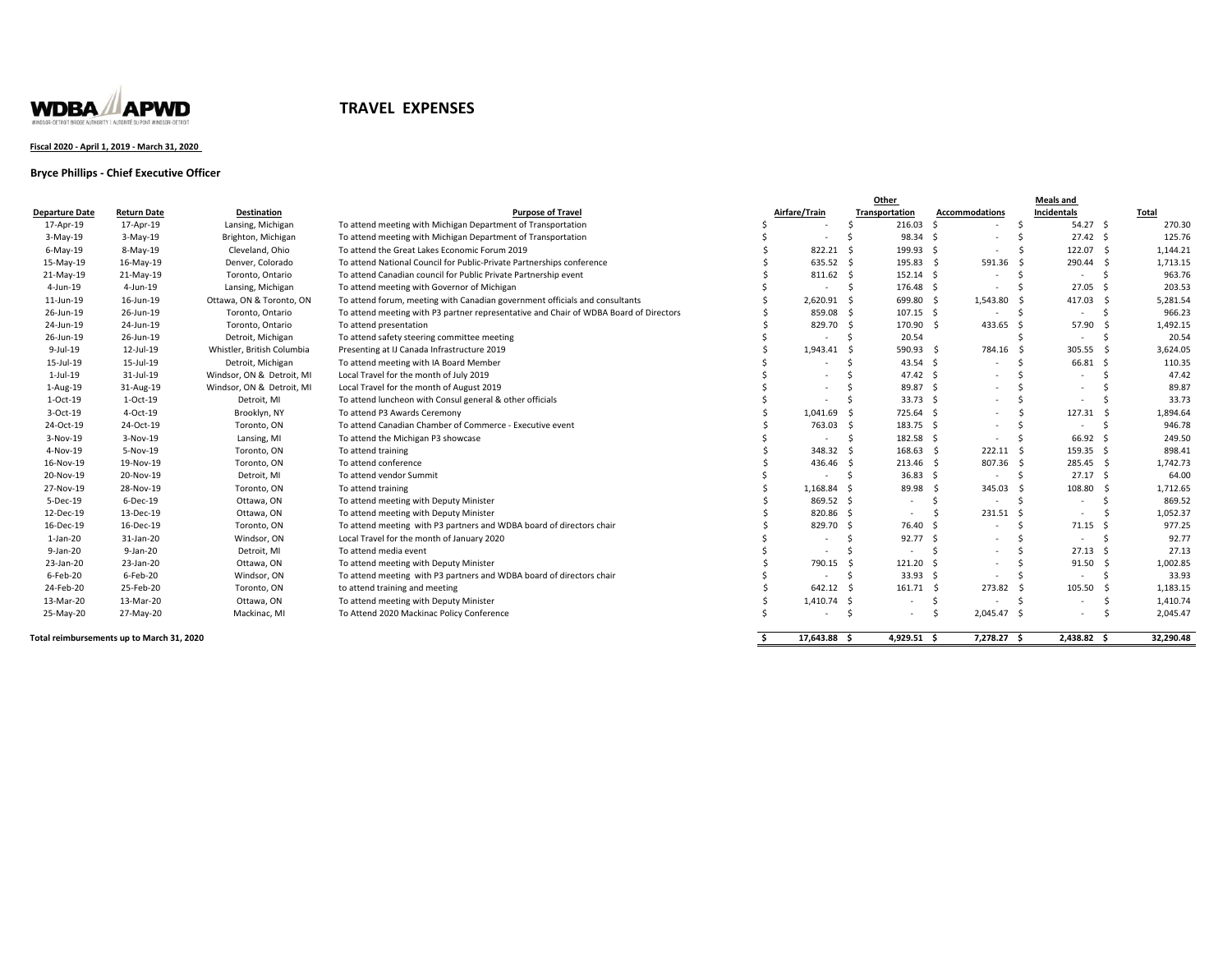

### **Fiscal 2020 ‐ April 1, 2019 ‐ March 31, 2020**

### **Bryce Phillips ‐ Chief Executive Officer**

|                                           |                    |                            |                                                                                       |                          | Other          |                          |                                  | Meals and |                          |     |              |  |  |
|-------------------------------------------|--------------------|----------------------------|---------------------------------------------------------------------------------------|--------------------------|----------------|--------------------------|----------------------------------|-----------|--------------------------|-----|--------------|--|--|
| <b>Departure Date</b>                     | <b>Return Date</b> | <b>Destination</b>         | <b>Purpose of Travel</b>                                                              | Airfare/Train            | Transportation |                          | <b>Accommodations</b>            |           | Incidentals              |     | <b>Total</b> |  |  |
| 17-Apr-19                                 | 17-Apr-19          | Lansing, Michigan          | To attend meeting with Michigan Department of Transportation                          |                          | -Ś             | 216.03                   | - Ś<br>٠                         | - Ś       | $54.27$ \$               |     | 270.30       |  |  |
| 3-May-19                                  | 3-May-19           | Brighton, Michigan         | To attend meeting with Michigan Department of Transportation                          | $\overline{\phantom{a}}$ | Ś              | 98.34 \$                 | ٠                                | -Ś        | $27.42 \quad$            |     | 125.76       |  |  |
| 6-May-19                                  | 8-May-19           | Cleveland, Ohio            | To attend the Great Lakes Economic Forum 2019                                         | 822.21 \$                |                | 199.93                   | - \$<br>$\sim$                   | - Ś       | 122.07                   | - Ś | 1,144.21     |  |  |
| 15-May-19                                 | 16-May-19          | Denver, Colorado           | To attend National Council for Public-Private Partnerships conference                 | 635.52 \$                |                | 195.83 \$                | 591.36 \$                        |           | 290.44                   | - Ś | 1,713.15     |  |  |
| 21-May-19                                 | 21-May-19          | Toronto, Ontario           | To attend Canadian council for Public Private Partnership event                       | 811.62 \$                |                | 152.14 \$                | $\sim$                           | - Ś       | $\sim$                   | -Ś  | 963.76       |  |  |
| 4-Jun-19                                  | 4-Jun-19           | Lansing, Michigan          | To attend meeting with Governor of Michigan                                           |                          | s.             | 176.48 \$                | ٠                                | - Ś       | $27.05$ \$               |     | 203.53       |  |  |
| 11-Jun-19                                 | 16-Jun-19          | Ottawa, ON & Toronto, ON   | To attend forum, meeting with Canadian government officials and consultants           | 2,620.91 \$              |                | 699.80 \$                | 1,543.80 \$                      |           | 417.03                   | - S | 5,281.54     |  |  |
| 26-Jun-19                                 | 26-Jun-19          | Toronto, Ontario           | To attend meeting with P3 partner representative and Chair of WDBA Board of Directors | 859.08 \$                |                | 107.15 \$                | ٠                                | - Ś       | $\sim$                   | -Ś  | 966.23       |  |  |
| 24-Jun-19                                 | 24-Jun-19          | Toronto, Ontario           | To attend presentation                                                                | 829.70 \$                |                | 170.90 \$                | 433.65 \$                        |           | 57.90                    |     | 1,492.15     |  |  |
| 26-Jun-19                                 | 26-Jun-19          | Detroit, Michigan          | To attend safety steering committee meeting                                           |                          | - Ś            | 20.54                    |                                  |           | $\sim$                   |     | 20.54        |  |  |
| 9-Jul-19                                  | 12-Jul-19          | Whistler, British Columbia | Presenting at IJ Canada Infrastructure 2019                                           | 1,943.41 \$              |                | 590.93 \$                | 784.16 \$                        |           | 305.55                   | - S | 3,624.05     |  |  |
| 15-Jul-19                                 | 15-Jul-19          | Detroit, Michigan          | To attend meeting with IA Board Member                                                |                          | - Ś            | 43.54 \$                 | ٠                                | -Ś        | 66.81                    | - Ś | 110.35       |  |  |
| $1$ -Jul- $19$                            | 31-Jul-19          | Windsor, ON & Detroit, MI  | Local Travel for the month of July 2019                                               |                          | -Ś             | 47.42 \$                 | ٠                                | - 5       | $\sim$                   | - 5 | 47.42        |  |  |
| 1-Aug-19                                  | 31-Aug-19          | Windsor, ON & Detroit, MI  | Local Travel for the month of August 2019                                             |                          | -Ś             | 89.87                    | -S<br>$\overline{\phantom{a}}$   | - S       | $\overline{\phantom{a}}$ | S,  | 89.87        |  |  |
| $1-Oct-19$                                | 1-Oct-19           | Detroit, MI                | To attend luncheon with Consul general & other officials                              |                          | - Ś            | 33.73                    | - \$<br>$\overline{\phantom{a}}$ | - Ś       | $\sim$                   | -Ś  | 33.73        |  |  |
| 3-Oct-19                                  | 4-Oct-19           | Brooklyn, NY               | To attend P3 Awards Ceremony                                                          | 1,041.69 \$              |                | 725.64                   | $\overline{\phantom{a}}$         | -Ś        | 127.31                   | - Ś | 1,894.64     |  |  |
| 24-Oct-19                                 | 24-Oct-19          | Toronto, ON                | To attend Canadian Chamber of Commerce - Executive event                              | 763.03 \$                |                | 183.75 \$                | ٠                                | - S       | ٠                        | -S  | 946.78       |  |  |
| 3-Nov-19                                  | 3-Nov-19           | Lansing, MI                | To attend the Michigan P3 showcase                                                    |                          | - Ś            | 182.58                   | ٠                                | -Ś        | 66.92                    | - Ś | 249.50       |  |  |
| 4-Nov-19                                  | 5-Nov-19           | Toronto, ON                | To attend training                                                                    | 348.32 \$                |                | 168.63                   | $222.11$ \$<br>- Ś               |           | 159.35 \$                |     | 898.41       |  |  |
| 16-Nov-19                                 | 19-Nov-19          | Toronto, ON                | To attend conference                                                                  | 436.46 \$                |                | 213.46 \$                | 807.36 \$                        |           | 285.45 \$                |     | 1,742.73     |  |  |
| 20-Nov-19                                 | 20-Nov-19          | Detroit, MI                | To attend vendor Summit                                                               | $\sim$                   | -\$            | $36.83$ \$               | ٠                                | - S       | $27.17$ \$               |     | 64.00        |  |  |
| 27-Nov-19                                 | 28-Nov-19          | Toronto, ON                | To attend training                                                                    | 1,168.84 \$              |                | 89.98 \$                 | 345.03 \$                        |           | 108.80                   | - S | 1,712.65     |  |  |
| 5-Dec-19                                  | 6-Dec-19           | Ottawa, ON                 | To attend meeting with Deputy Minister                                                | 869.52 \$                |                | $\sim$                   | Ś<br>$\sim$                      | - S       | $\sim$                   | -Ś  | 869.52       |  |  |
| 12-Dec-19                                 | 13-Dec-19          | Ottawa, ON                 | To attend meeting with Deputy Minister                                                | 820.86 \$                |                | ٠                        | 231.51 \$                        |           | $\sim$                   |     | 1,052.37     |  |  |
| 16-Dec-19                                 | 16-Dec-19          | Toronto, ON                | To attend meeting with P3 partners and WDBA board of directors chair                  | 829.70 \$                |                | 76.40                    | $\overline{\phantom{a}}$         | - Ś       | 71.15                    | - Ś | 977.25       |  |  |
| $1$ -Jan-20                               | 31-Jan-20          | Windsor, ON                | Local Travel for the month of January 2020                                            | $\sim$                   | -\$            | 92.77                    | - \$<br>$\sim$                   | - Ś       | $\sim$                   | -Ś  | 92.77        |  |  |
| 9-Jan-20                                  | 9-Jan-20           | Detroit, MI                | To attend media event                                                                 |                          | - Ś            | $\sim$                   | $\overline{\phantom{a}}$         | -Ś        | $27.13 \quad$            |     | 27.13        |  |  |
| 23-Jan-20                                 | 23-Jan-20          | Ottawa, ON                 | To attend meeting with Deputy Minister                                                | 790.15 \$                |                | 121.20                   | ٠                                | - 5       | 91.50                    | - Ś | 1,002.85     |  |  |
| 6-Feb-20                                  | 6-Feb-20           | Windsor, ON                | To attend meeting with P3 partners and WDBA board of directors chair                  | $\overline{\phantom{a}}$ | - Ś            | 33.93                    | ٠                                | -Ś        | ٠                        | -Ś. | 33.93        |  |  |
| 24-Feb-20                                 | 25-Feb-20          | Toronto, ON                | to attend training and meeting                                                        | 642.12 \$                |                | 161.71 \$                | 273.82 \$                        |           | 105.50                   | -S  | 1,183.15     |  |  |
| 13-Mar-20                                 | 13-Mar-20          | Ottawa, ON                 | To attend meeting with Deputy Minister                                                | 1,410.74 \$              |                | $\overline{\phantom{a}}$ | Ś<br>$\overline{\phantom{a}}$    | - Ś       | $\overline{\phantom{a}}$ |     | 1,410.74     |  |  |
| 25-May-20                                 | 27-May-20          | Mackinac, MI               | To Attend 2020 Mackinac Policy Conference                                             |                          | - Ś            | ٠                        | 2,045.47 \$<br>Ś                 |           | $\sim$                   |     | 2,045.47     |  |  |
| Total reimbursements up to March 31, 2020 |                    |                            |                                                                                       | 17,643.88 \$             |                | 4,929.51 \$              | 7,278.27 \$                      |           | 2,438.82 \$              |     | 32,290.48    |  |  |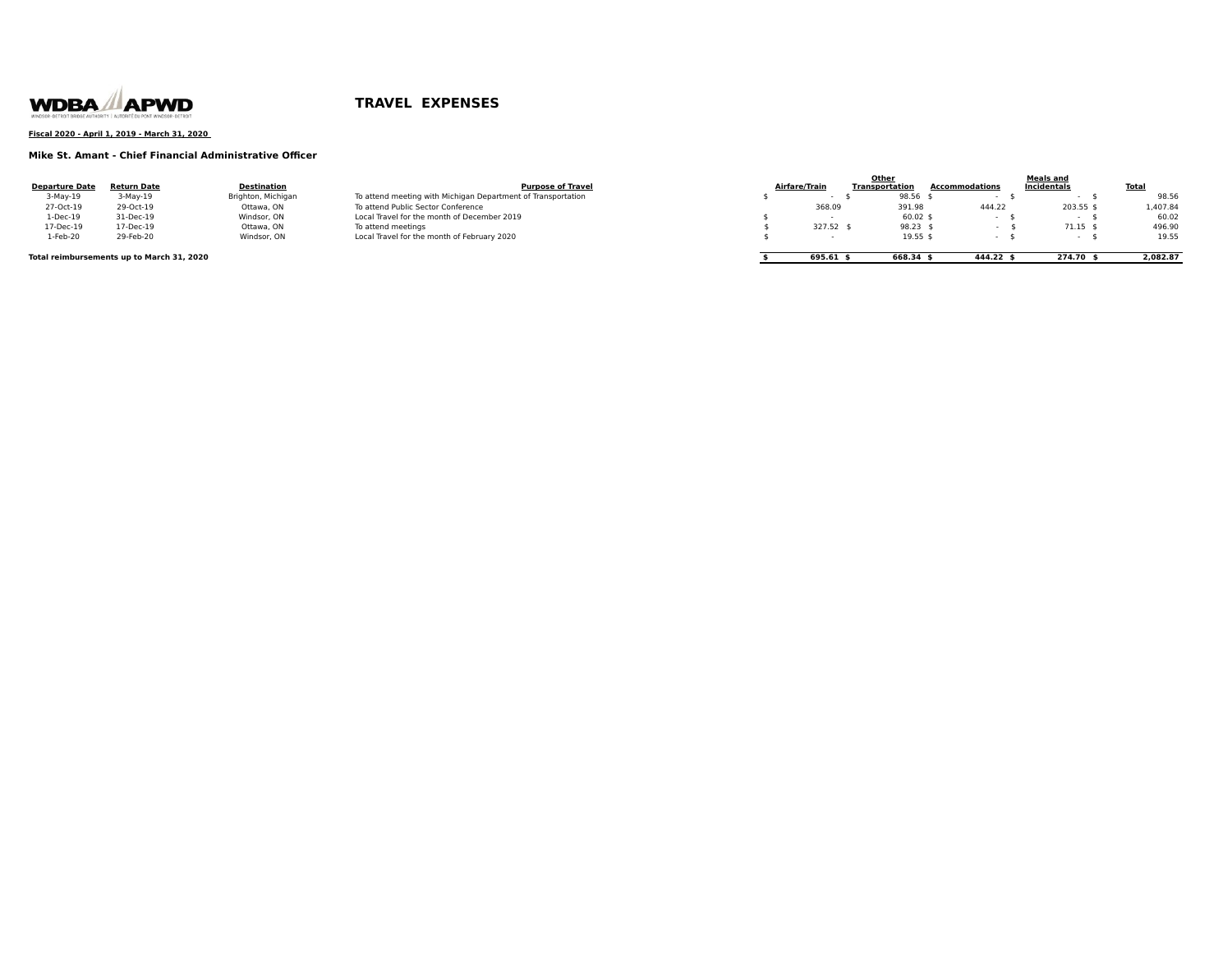

### **Fiscal 2020 - April 1, 2019 - March 31, 2020**

### **Mike St. Amant - Chief Financial Administrative Officer**

|                                           |             |                    |                                                              |               | Other          |                | <b>Meals and</b>   |              |
|-------------------------------------------|-------------|--------------------|--------------------------------------------------------------|---------------|----------------|----------------|--------------------|--------------|
| <b>Departure Date</b>                     | Return Date | Destination        | <b>Purpose of Travel</b>                                     | Airfare/Train | Transportation | Accommodations | Incidentals        | <b>Total</b> |
| $3-May-19$                                | $3-May-19$  | Brighton, Michigan | To attend meeting with Michigan Department of Transportation |               | 98.56 \$       |                |                    | 98.56        |
| 27-Oct-19                                 | 29-Oct-19   | Ottawa, ON         | To attend Public Sector Conference                           | 368.09        | 391.98         | 444.22         | 203.55 \$          | 1,407.84     |
| 1-Dec-19                                  | 31-Dec-19   | Windsor, ON        | Local Travel for the month of December 2019                  |               | $60.02$ \$     |                |                    | 60.02        |
| 17-Dec-19                                 | 17-Dec-19   | Ottawa, ON         | To attend meetings                                           | 327.52 \$     | $98.23$ \$     |                | 71.15 <sub>5</sub> | 496.90       |
| 1-Feb-20                                  | 29-Feb-20   | Windsor, ON        | Local Travel for the month of February 2020                  |               | 19.55 \$       |                |                    | 19.55        |
| Total reimbursements up to March 31, 2020 |             |                    |                                                              | 695.61 \$     | 668.34         | 444.22 \$      | 274.70             | 2.082.87     |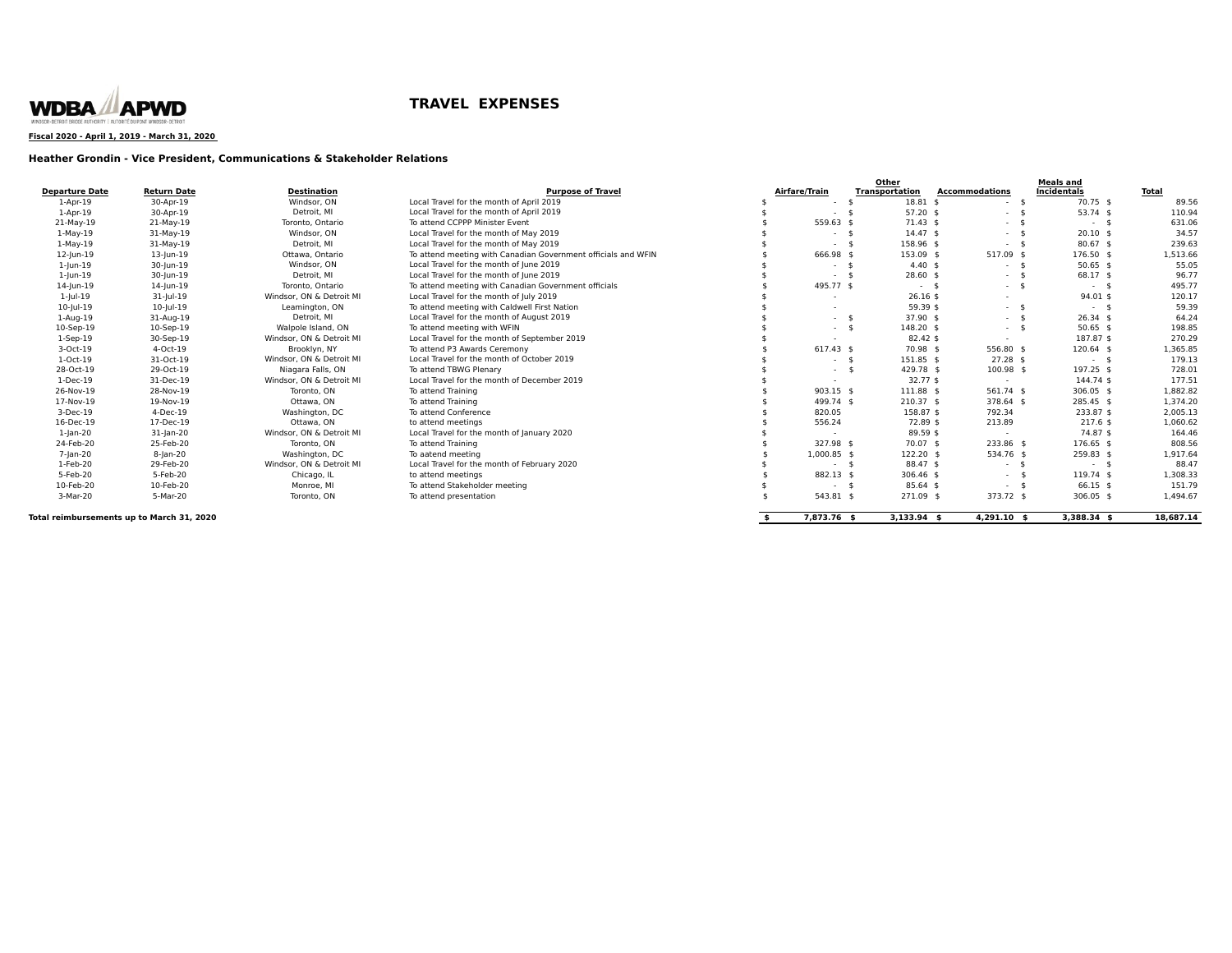

**Fiscal 2020 - April 1, 2019 - March 31, 2020** 

### **Heather Grondin - Vice President, Communications & Stakeholder Relations**

| <b>Departure Date</b>                     | <b>Return Date</b> | <b>Destination</b>                       | <b>Purpose of Travel</b>                                      |    | Airfare/Train            | Other<br><b>Transportation</b>     | <b>Accommodations</b>   | <b>Meals and</b><br><b>Incidentals</b> | <b>Total</b> |
|-------------------------------------------|--------------------|------------------------------------------|---------------------------------------------------------------|----|--------------------------|------------------------------------|-------------------------|----------------------------------------|--------------|
| $1-Apr-19$                                | 30-Apr-19          | Windsor, ON                              | Local Travel for the month of April 2019                      |    | $\sim$                   | $18.81$ \$<br>- \$                 | - \$<br>$\sim$ 10 $\pm$ | 70.75 \$                               | 89.56        |
| $1-Apr-19$                                | 30-Apr-19          | Detroit. MI                              | Local Travel for the month of April 2019                      |    | $\overline{\phantom{a}}$ | $57.20$ \$                         | $\sim$ 10 $\pm$         | $53.74$ \$                             | 110.94       |
| 21-May-19                                 | 21-May-19          | Toronto, Ontario                         | To attend CCPPP Minister Event                                |    | 559.63 \$                | $71.43 \text{ s}$                  | $-5$                    | $-5$                                   | 631.06       |
| $1-May-19$                                | 31-May-19          | Windsor, ON                              | Local Travel for the month of May 2019                        |    | $\sim$                   | 14.47 <sub>5</sub><br>$\mathbf{A}$ | $-5$                    | $20.10$ \$                             | 34.57        |
| $1-May-19$                                | 31-May-19          | Detroit. MI                              | Local Travel for the month of May 2019                        |    | $\overline{\phantom{a}}$ | 158.96 \$                          | $-5$                    | $80.67$ \$                             | 239.63       |
| 12-Jun-19                                 | $13$ -Jun-19       | Ottawa, Ontario                          | To attend meeting with Canadian Government officials and WFIN |    | 666.98 \$                | 153.09 \$                          | 517.09 \$               | 176.50 \$                              | 1,513.66     |
| $1$ -Jun- $19$                            | 30-Jun-19          | Windsor, ON                              | Local Travel for the month of June 2019                       |    | $\sim$                   | $4.40 \text{ }$ \$<br>- \$         | $-5$                    | $50.65$ \$                             | 55.05        |
| $1$ -Jun- $19$                            | 30-Jun-19          | Detroit, MI                              | Local Travel for the month of June 2019                       |    |                          | $28.60$ \$<br>- \$                 | $-5$                    | 68.17 \$                               | 96.77        |
| 14-Jun-19                                 | 14-Jun-19          | Toronto, Ontario                         | To attend meeting with Canadian Government officials          |    | 495.77 \$                | $-5$                               | $-5$                    | $-5$                                   | 495.77       |
| $1 -  u  - 19$                            | $31$ -Jul-19       | Windsor, ON & Detroit MI                 | Local Travel for the month of July 2019                       |    |                          | $26.16$ \$                         | $\sim$                  | $94.01$ \$                             | 120.17       |
| $10$ -Jul-19                              | $10$ -Jul-19       | Leamington, ON                           | To attend meeting with Caldwell First Nation                  |    |                          | 59.39 \$                           | $-5$                    | $-5$                                   | 59.39        |
| 1-Aug-19                                  | 31-Aug-19          | Detroit, MI                              | Local Travel for the month of August 2019                     |    | $\sim$                   | $37.90$ \$<br>- \$                 | $-5$                    | $26.34$ \$                             | 64.24        |
| 10-Sep-19                                 | 10-Sep-19          | Walpole Island, ON                       | To attend meeting with WFIN                                   |    | $\sim$                   | 148.20 \$<br>$\mathbf{\hat{S}}$    | $-5$                    | $50.65$ \$                             | 198.85       |
| $1-Sep-19$                                | 30-Sep-19          | Windsor, ON & Detroit MI                 | Local Travel for the month of September 2019                  |    |                          | $82.42$ \$                         | $\sim$                  | 187.87 \$                              | 270.29       |
|                                           | 4-Oct-19           |                                          | To attend P3 Awards Ceremony                                  |    | $617.43$ \$              | 70.98 \$                           | 556.80 \$               | 120.64 \$                              | 1,365.85     |
| 3-Oct-19                                  |                    | Brooklyn, NY<br>Windsor, ON & Detroit MI |                                                               |    |                          |                                    |                         |                                        |              |
| 1-Oct-19                                  | 31-Oct-19          |                                          | Local Travel for the month of October 2019                    |    | $\overline{\phantom{a}}$ | 151.85 \$<br>\$                    | $27.28$ \$              | $-5$                                   | 179.13       |
| 28-Oct-19                                 | 29-Oct-19          | Niagara Falls, ON                        | To attend TBWG Plenary                                        |    | $\sim$                   | 429.78 \$<br>- \$                  | 100.98 \$               | 197.25 \$                              | 728.01       |
| $1-Dec-19$                                | 31-Dec-19          | Windsor, ON & Detroit MI                 | Local Travel for the month of December 2019                   |    |                          | $32.77$ \$                         | $\sim$                  | $144.74$ \$                            | 177.51       |
| 26-Nov-19                                 | 28-Nov-19          | Toronto, ON                              | To attend Training                                            |    | $903.15$ \$              | 111.88 \$                          | 561.74 \$               | $306.05$ \$                            | 1.882.82     |
| 17-Nov-19                                 | 19-Nov-19          | Ottawa, ON                               | To attend Training                                            |    | 499.74 \$                | $210.37$ \$                        | 378.64 \$               | 285.45 \$                              | 1,374.20     |
| 3-Dec-19                                  | 4-Dec-19           | Washington, DC                           | To attend Conference                                          |    | 820.05                   | 158.87 \$                          | 792.34                  | 233.87 \$                              | 2,005.13     |
| 16-Dec-19                                 | 17-Dec-19          | Ottawa, ON                               | to attend meetings                                            |    | 556.24                   | 72.89 \$                           | 213.89                  | $217.6$ \$                             | 1,060.62     |
| $1$ -Jan-20                               | $31$ -Jan-20       | Windsor, ON & Detroit MI                 | Local Travel for the month of January 2020                    |    | $\overline{\phantom{a}}$ | 89.59 \$                           | $\sim$                  | 74.87 \$                               | 164.46       |
| 24-Feb-20                                 | 25-Feb-20          | Toronto, ON                              | To attend Training                                            |    | 327.98 \$                | 70.07 \$                           | 233.86 \$               | 176.65 \$                              | 808.56       |
| 7-jan-20                                  | $8$ -Jan-20        | Washington, DC                           | To aatend meeting                                             |    | 1,000.85 \$              | 122.20 \$                          | 534.76 \$               | 259.83 \$                              | 1,917.64     |
| 1-Feb-20                                  | 29-Feb-20          | Windsor, ON & Detroit MI                 | Local Travel for the month of February 2020                   |    | $\overline{\phantom{a}}$ | 88.47 \$<br>- \$                   | $-5$                    | $-5$                                   | 88.47        |
| 5-Feb-20                                  | 5-Feb-20           | Chicago, IL                              | to attend meetings                                            |    | 882.13 \$                | 306.46 \$                          | $-5$                    | 119.74 \$                              | 1,308.33     |
| 10-Feb-20                                 | 10-Feb-20          | Monroe, MI                               | To attend Stakeholder meeting                                 |    |                          | $85.64$ \$<br>\$                   | $-5$                    | 66.15 \$                               | 151.79       |
| 3-Mar-20                                  | 5-Mar-20           | Toronto, ON                              | To attend presentation                                        |    | 543.81 \$                | 271.09 \$                          | 373.72 \$               | 306.05 \$                              | 1,494.67     |
| Total reimbursements up to March 31, 2020 |                    |                                          |                                                               | £. | 7,873.76 \$              | $3,133.94$ \$                      | $4,291.10$ \$           | 3,388.34 \$                            | 18.687.14    |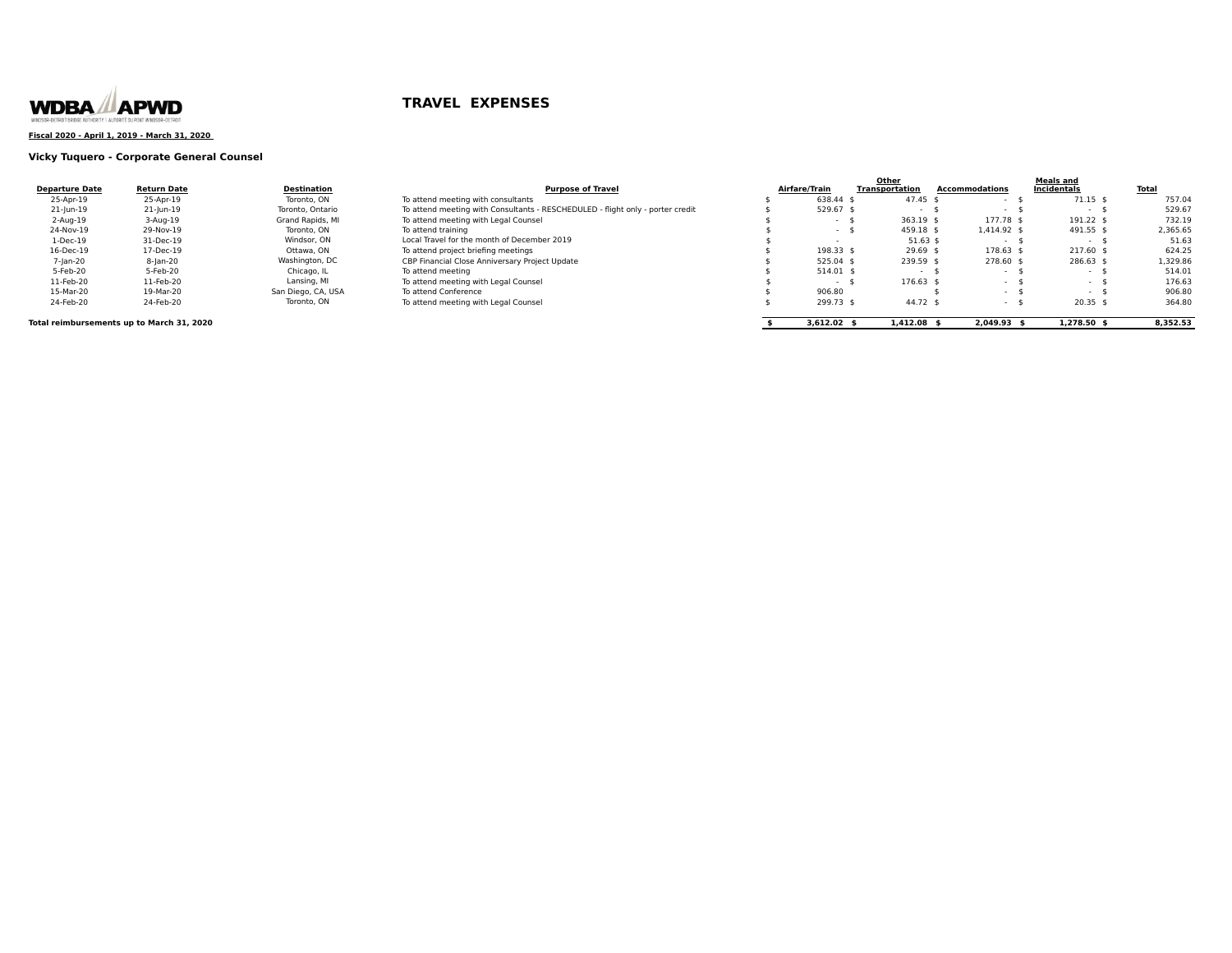

### **Fiscal 2020 - April 1, 2019 - March 31, 2020**

### **Vicky Tuquero - Corporate General Counsel**

|                       |                                           |                    |                                                                                |               | Other                 |                       | <b>Meals and</b> |              |
|-----------------------|-------------------------------------------|--------------------|--------------------------------------------------------------------------------|---------------|-----------------------|-----------------------|------------------|--------------|
| <b>Departure Date</b> | <b>Return Date</b>                        | Destination        | <b>Purpose of Travel</b>                                                       | Airfare/Train | <b>Transportation</b> | <b>Accommodations</b> | Incidentals      | <b>Total</b> |
| 25-Apr-19             | 25-Apr-19                                 | Toronto, ON        | To attend meeting with consultants                                             | 638.44 \$     | 47.45                 |                       | $71.15$ \$       | 757.04       |
| 21-Jun-19             | 21-Jun-19                                 | Toronto, Ontario   | To attend meeting with Consultants - RESCHEDULED - flight only - porter credit | 529.67 \$     |                       |                       |                  | 529.67       |
| 2-Aug-19              | 3-Aug-19                                  | Grand Rapids, MI   | To attend meeting with Legal Counsel                                           | - 5           | $363.19$ \$           | 177.78 \$             | 191.22 \$        | 732.19       |
| 24-Nov-19             | 29-Nov-19                                 | Toronto, ON        | To attend training                                                             | $-$ \$        | 459.18 \$             | 1.414.92 \$           | 491.55 \$        | 2,365.65     |
| 1-Dec-19              | 31-Dec-19                                 | Windsor, ON        | Local Travel for the month of December 2019                                    |               | $51.63$ \$            | <b>Service</b>        | . .              | 51.63        |
| 16-Dec-19             | 17-Dec-19                                 | Ottawa. ON         | To attend project briefing meetings                                            | 198.33 \$     | $29.69$ \$            | 178.63 \$             | $217.60$ \$      | 624.25       |
| 7-Jan-20              | $8$ -Jan-20                               | Washington, DC     | CBP Financial Close Anniversary Project Update                                 | 525.04 \$     | 239.59 \$             | 278.60 \$             | 286.63 \$        | 1,329.86     |
| 5-Feb-20              | 5-Feb-20                                  | Chicago, IL        | To attend meeting                                                              | 514.01 \$     |                       |                       |                  | 514.01       |
| 11-Feb-20             | 11-Feb-20                                 | Lansing, MI        | To attend meeting with Legal Counsel                                           |               | 176.63                |                       |                  | 176.63       |
| 15-Mar-20             | 19-Mar-20                                 | San Diego, CA, USA | To attend Conference                                                           | 906.80        |                       |                       |                  | 906.80       |
| 24-Feb-20             | 24-Feb-20                                 | Toronto, ON        | To attend meeting with Legal Counsel                                           | 299.73 \$     | 44.72 \$              | $\sim$ $\sim$         | $20.35$ \$       | 364.80       |
|                       | Total reimbursements up to March 31, 2020 |                    |                                                                                | $3.612.02$ \$ | $1.412.08$ \$         | $2.049.93$ \$         | $1.278.50$ \$    | 8.352.53     |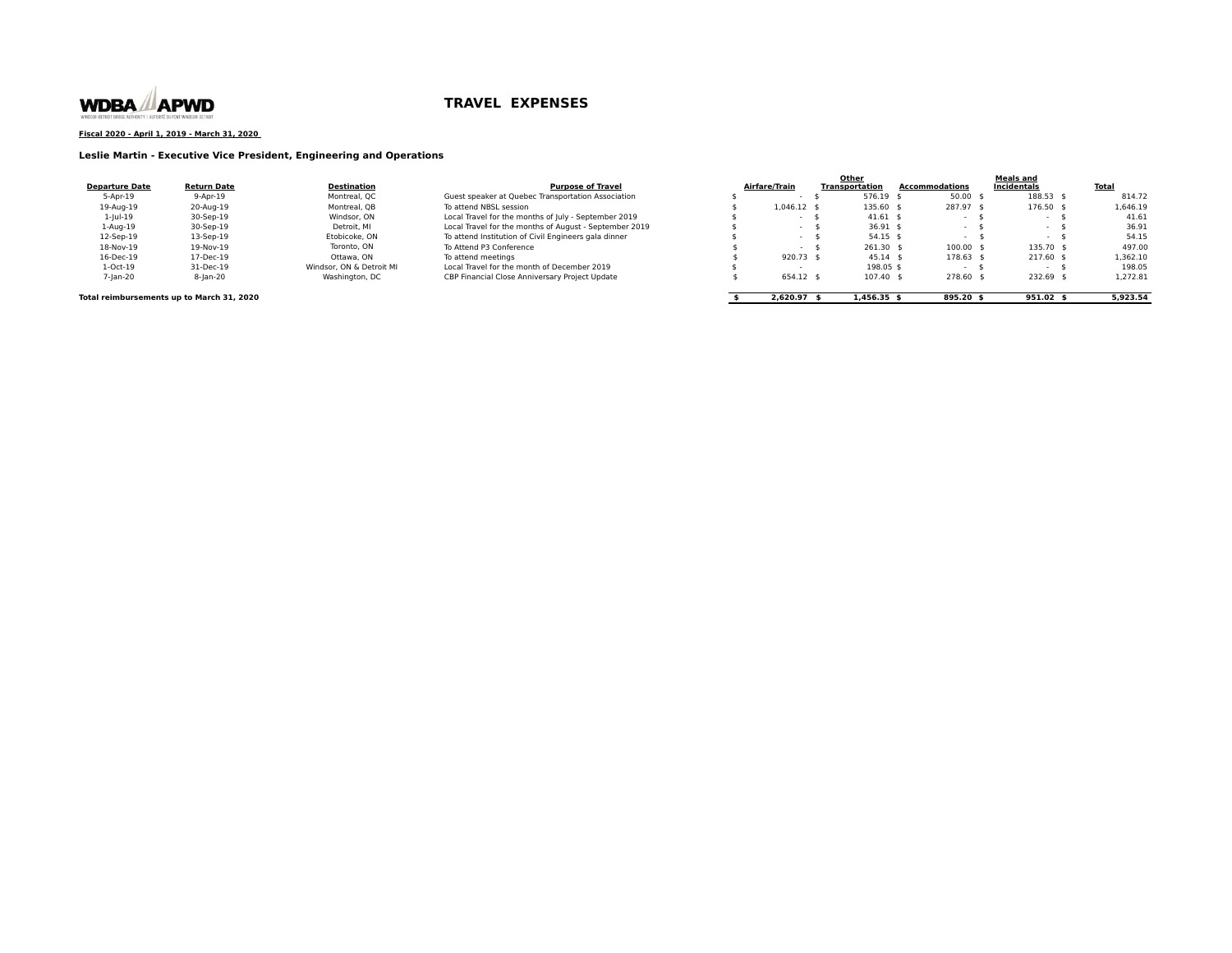

**Fiscal 2020 - April 1, 2019 - March 31, 2020** 

**Leslie Martin - Executive Vice President, Engineering and Operations**

|                       |                                           |                          |                                                        |                       | Other          |                | Meals and     |          |
|-----------------------|-------------------------------------------|--------------------------|--------------------------------------------------------|-----------------------|----------------|----------------|---------------|----------|
| <b>Departure Date</b> | <b>Return Date</b>                        | Destination              | <b>Purpose of Travel</b>                               | Airfare/Train         | Transportation | Accommodations | Incidentals   | Total    |
| 5-Apr-19              | $9 - A$ pr $-19$                          | Montreal, QC             | Guest speaker at Quebec Transportation Association     |                       | 576.19 \$      | $50.00$ \$     | 188.53 \$     | 814.72   |
| 19-Aug-19             | 20-Aug-19                                 | Montreal, QB             | To attend NBSL session                                 | $1.046.12$ \$         | 135.60 \$      | 287.97 \$      | 176.50 \$     | 1,646.19 |
| $1 -  u  - 19$        | 30-Sep-19                                 | Windsor, ON              | Local Travel for the months of July - September 2019   |                       | $41.61$ \$     |                | $\sim$ $\sim$ | 41.61    |
| 1-Aug-19              | 30-Sep-19                                 | Detroit. MI              | Local Travel for the months of August - September 2019 |                       | $36.91$ \$     |                |               | 36.91    |
| 12-Sep-19             | 13-Sep-19                                 | Etobicoke, ON            | To attend Institution of Civil Engineers gala dinner   |                       | $54.15$ \$     |                |               | 54.15    |
| 18-Nov-19             | 19-Nov-19                                 | Toronto, ON              | To Attend P3 Conference                                |                       | $261.30$ \$    | $100.00$ \$    | 135.70 \$     | 497.00   |
| 16-Dec-19             | 17-Dec-19                                 | Ottawa, ON               | To attend meetings                                     | 920.73 \$             | $45.14$ \$     | $178.63$ \$    | $217.60$ \$   | 1,362.10 |
| $1-Oct-19$            | 31-Dec-19                                 | Windsor, ON & Detroit MI | Local Travel for the month of December 2019            |                       | 198.05 \$      |                |               | 198.05   |
| 7-jan-20              | 8-jan-20                                  | Washington, DC           | CBP Financial Close Anniversary Project Update         | 654.12 \$             | 107.40 \$      | 278.60         | 232.69 \$     | 1,272.81 |
|                       | Total reimbursements up to March 31, 2020 |                          |                                                        | 2.620.97 <sub>5</sub> | $1.456.35$ \$  | $895.20$ \$    | $951.02$ \$   | 5.923.54 |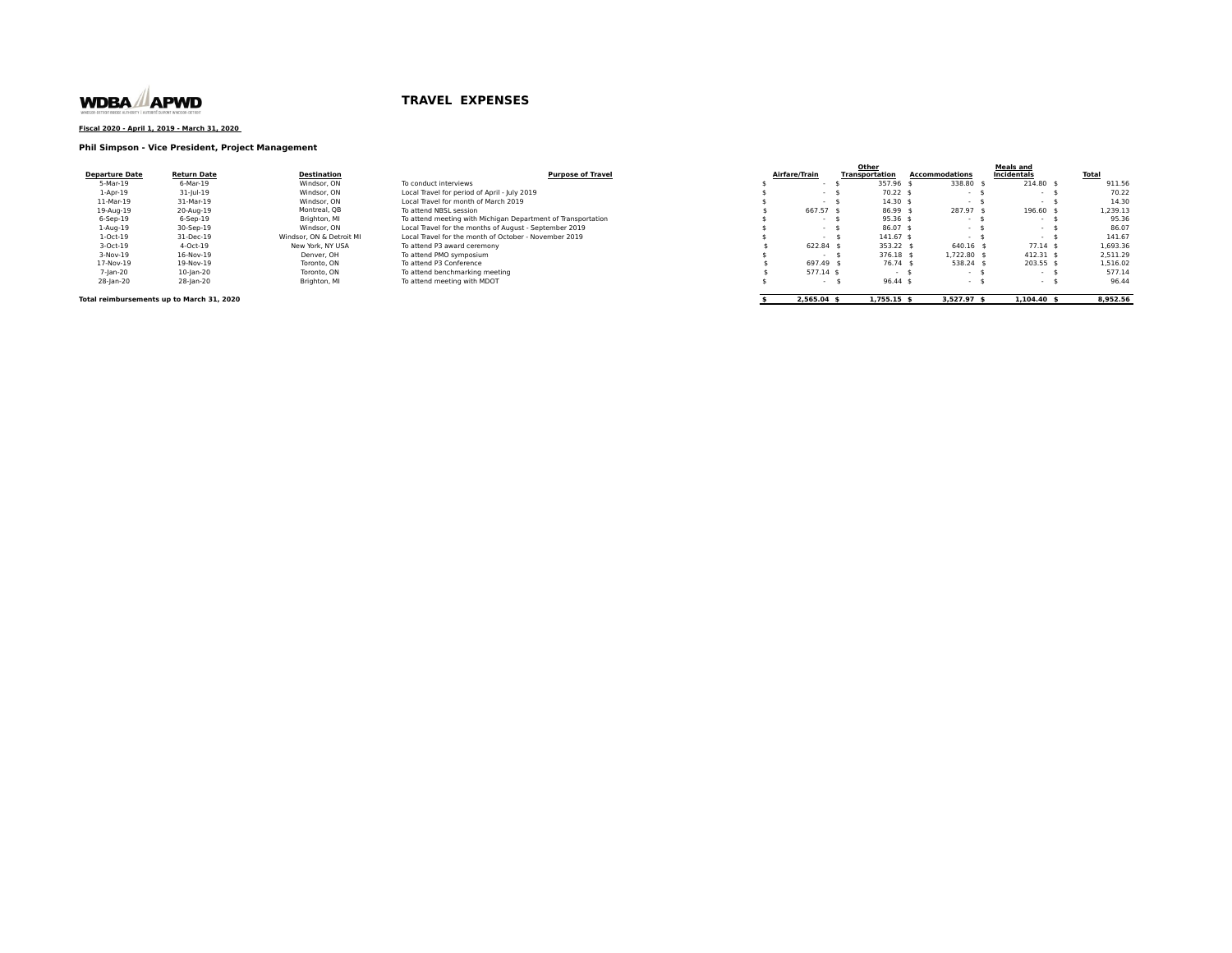

### **Fiscal 2020 - April 1, 2019 - March 31, 2020**

### **Phil Simpson - Vice President, Project Management**

|                       |                    |                          |                                                              |               | Other                 |                    |                | <b>Meals and</b> |              |
|-----------------------|--------------------|--------------------------|--------------------------------------------------------------|---------------|-----------------------|--------------------|----------------|------------------|--------------|
| <b>Departure Date</b> | <b>Return Date</b> | <b>Destination</b>       | <b>Purpose of Travel</b>                                     | Airfare/Train | <b>Transportation</b> |                    | Accommodations | Incidentals      | <b>Total</b> |
| 5-Mar-19              | 6-Mar-19           | Windsor, ON              | To conduct interviews                                        |               |                       | 357.96             | 338.80         | 214.80 \$        | 911.5        |
| $1-Apr-19$            | $31$ -Jul-19       | Windsor, ON              | Local Travel for period of April - July 2019                 |               |                       | $70.22$ \$         |                |                  | 70.22        |
| 11-Mar-19             | 31-Mar-19          | Windsor, ON              | Local Travel for month of March 2019                         | $\sim$        |                       | 14.30 <sub>5</sub> | $\sim$         | . .              | 14.30        |
| 19-Aug-19             | 20-Aug-19          | Montreal, OB             | To attend NBSL session                                       | 667.57 \$     |                       | 86.99 \$           | 287.97         | 196.60 \$        | 1,239.13     |
| $6-$ Sep $-19$        | $6-$ Sep $-19$     | Brighton, MI             | To attend meeting with Michigan Department of Transportation | $\sim$        |                       | $95.36$ \$         |                | . .              | 95.36        |
| $1-Auq-19$            | 30-Sep-19          | Windsor, ON              | Local Travel for the months of August - September 2019       | $\sim$        |                       | $86.07$ \$         | . .            | $\sim$           | 86.07        |
| $1-Oct-19$            | 31-Dec-19          | Windsor, ON & Detroit MI | Local Travel for the month of October - November 2019        | $\sim$        |                       | $141.67$ \$        | . .            | . .              | 141.67       |
| 3-Oct-19              | 4-Oct-19           | New York, NY USA         | To attend P3 award ceremony                                  | 622.84 :      |                       | 353.22             | 640.16         | $77.14$ \$       | 1,693.36     |
| $3-Nov-19$            | 16-Nov-19          | Denver, OH               | To attend PMO symposium                                      |               |                       | 376.18 \$          | 1.722.80 \$    | $412.31$ \$      | 2.511.29     |
| 17-Nov-19             | 19-Nov-19          | Toronto, ON              | To attend P3 Conference                                      | 697.49        |                       | 76.74 \$           | 538.24         | 203.55 S         | 1.516.02     |
| 7-lan-20              | 10-jan-20          | Toronto, ON              | To attend benchmarking meeting                               | 577.14 \$     |                       | $\sim$             |                | $\sim$           | 577.1        |
| 28-jan-20             | 28-lan-20          | Brighton, MI             | To attend meeting with MDOT                                  |               |                       | $96.44$ \$         |                |                  | 96.44        |

**Total reimbursements up to March 31, 2020 8,952.56 8,952.56 8,952.56 \$** 2,565.04 \$ 1,755.15 \$ 3,527.97 \$ 1,104.40 \$ 8,952.56